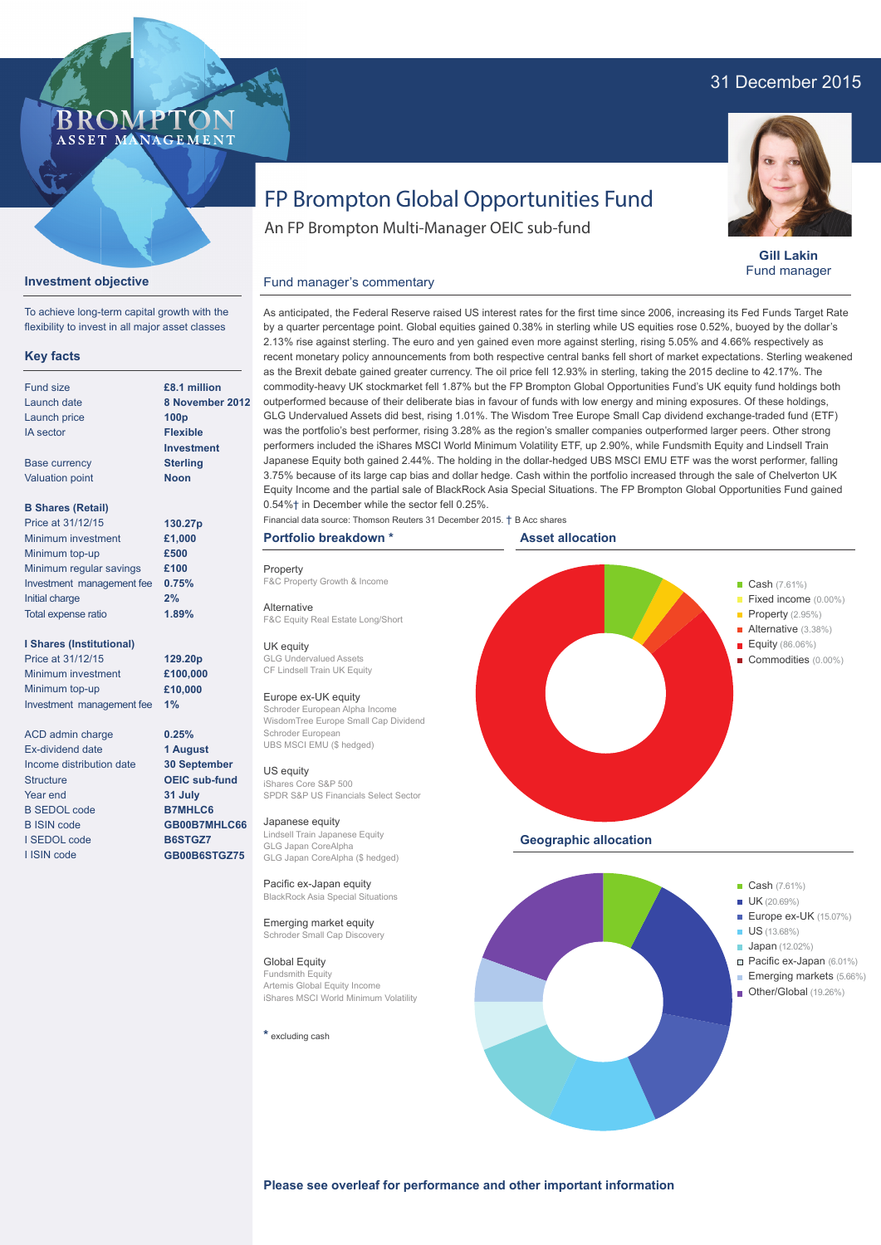## 31 December 2015



**Gill Lakin** Fund manager

# FP Brompton Global Opportunities Fund

An FP Brompton Multi-Manager OEIC sub-fund

## **Investment objective**

To achieve long-term capital growth with the flexibility to invest in all major asset classes

BROMP

ASSET MANAGEMENT

#### **Key facts**

| £8.1 millio      |
|------------------|
| 8 Novemb         |
| 100 <sub>p</sub> |
| <b>Flexible</b>  |
| Investmer        |
| <b>Sterling</b>  |
| <b>Noon</b>      |
|                  |
| 130.27p          |
| £1,000           |
| £500             |
| £100             |
| 0.75%            |
| 2%               |
|                  |

#### **I Shares (Institutional)**

Total expense ratio

Price at 31/12/15 Minimum investment Minimum top-up Investment management fee **1%**

ACD admin charge Ex-dividend date Income distribution date **Structure** Year end B SEDOL code B ISIN code I SEDOL code I ISIN code

**£8.1 million ber 2012 Int** 

**1.89%**

**129.20p £100,000 £10,000**

**0.25% 1 August 30 September OEIC sub-fund 31 July B7MHLC6 GB00B7MHLC66 B6STGZ7 GB00B6STGZ75**

by a quarter percentage point. Global equities gained 0.38% in sterling while US equities rose 0.52%, buoyed by the dollar's 2.13% rise against sterling. The euro and yen gained even more against sterling, rising 5.05% and 4.66% respectively as

recent monetary policy announcements from both respective central banks fell short of market expectations. Sterling weakened as the Brexit debate gained greater currency. The oil price fell 12.93% in sterling, taking the 2015 decline to 42.17%. The commodity-heavy UK stockmarket fell 1.87% but the FP Brompton Global Opportunities Fund's UK equity fund holdings both outperformed because of their deliberate bias in favour of funds with low energy and mining exposures. Of these holdings, GLG Undervalued Assets did best, rising 1.01%. The Wisdom Tree Europe Small Cap dividend exchange-traded fund (ETF) was the portfolio's best performer, rising 3.28% as the region's smaller companies outperformed larger peers. Other strong performers included the iShares MSCI World Minimum Volatility ETF, up 2.90%, while Fundsmith Equity and Lindsell Train Japanese Equity both gained 2.44%. The holding in the dollar-hedged UBS MSCI EMU ETF was the worst performer, falling 3.75% because of its large cap bias and dollar hedge. Cash within the portfolio increased through the sale of Chelverton UK Equity Income and the partial sale of BlackRock Asia Special Situations. The FP Brompton Global Opportunities Fund gained 0.54%† in December while the sector fell 0.25%.

As anticipated, the Federal Reserve raised US interest rates for the first time since 2006, increasing its Fed Funds Target Rate

Financial data source: Thomson Reuters 31 December 2015. † B Acc shares

## **Portfolio breakdown \***

**Property** F&C Property Growth & Income

F&C Equity Real Estate Long/Short

Fund manager's commentary

#### Alternative

UK equity .<br>rvalued Assets CF Lindsell Train UK Equity

#### Europe ex-UK equity

Schroder European Alpha Income WisdomTree Europe Small Cap Dividend Schroder European UBS MSCI EMU (\$ hedged)

#### US equity

iShares Core S&P 500 SPDR S&P US Financials Select Sector

#### Japanese equity

Lindsell Train Japanese Equity GLG Japan CoreAlpha GLG Japan CoreAlpha (\$ hedged)

Pacific ex-Japan equity BlackRock Asia Special Situations

Emerging market equity Schroder Small Cap Discovery

Global Equity Fundsmith Equity Artemis Global Equity Income iShares MSCI World Minimum Volatility

**\*** excluding cash





**Please see overleaf for performance and other important information**